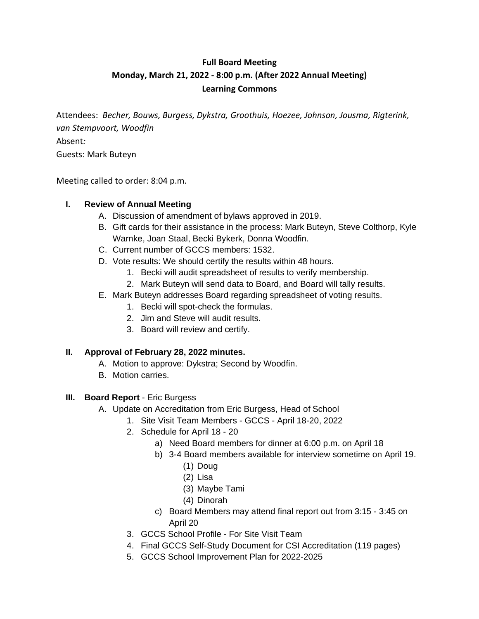# **Full Board Meeting Monday, March 21, 2022 - 8:00 p.m. (After 2022 Annual Meeting) Learning Commons**

Attendees: *Becher, Bouws, Burgess, Dykstra, Groothuis, Hoezee, Johnson, Jousma, Rigterink, van Stempvoort, Woodfin* Absent*:* Guests: Mark Buteyn

Meeting called to order: 8:04 p.m.

#### **I. Review of Annual Meeting**

- A. Discussion of amendment of bylaws approved in 2019.
- B. Gift cards for their assistance in the process: Mark Buteyn, Steve Colthorp, Kyle Warnke, Joan Staal, Becki Bykerk, Donna Woodfin.
- C. Current number of GCCS members: 1532.
- D. Vote results: We should certify the results within 48 hours.
	- 1. Becki will audit spreadsheet of results to verify membership.
	- 2. Mark Buteyn will send data to Board, and Board will tally results.
- E. Mark Buteyn addresses Board regarding spreadsheet of voting results.
	- 1. Becki will spot-check the formulas.
		- 2. Jim and Steve will audit results.
		- 3. Board will review and certify.

### **II. Approval of February 28, 2022 minutes.**

- A. Motion to approve: Dykstra; Second by Woodfin.
- B. Motion carries.
- **III. Board Report** Eric Burgess
	- A. Update on Accreditation from Eric Burgess, Head of School
		- 1. Site Visit Team Members GCCS April 18-20, 2022
		- 2. Schedule for April 18 20
			- a) Need Board members for dinner at 6:00 p.m. on April 18
			- b) 3-4 Board members available for interview sometime on April 19.
				- (1) Doug
				- (2) Lisa
				- (3) Maybe Tami
				- (4) Dinorah
			- c) Board Members may attend final report out from 3:15 3:45 on April 20
		- 3. GCCS School Profile For Site Visit Team
		- 4. Final GCCS Self-Study Document for CSI Accreditation (119 pages)
		- 5. GCCS School Improvement Plan for 2022-2025